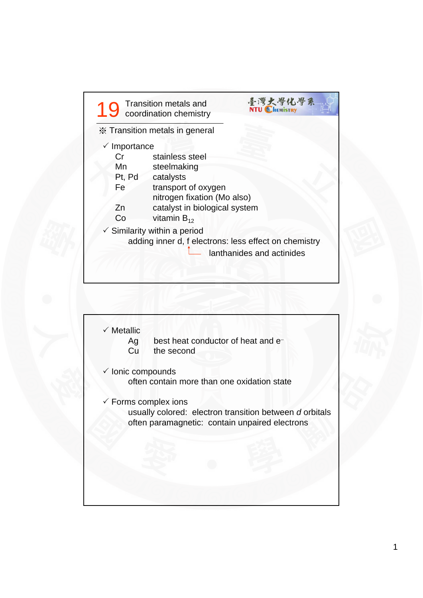

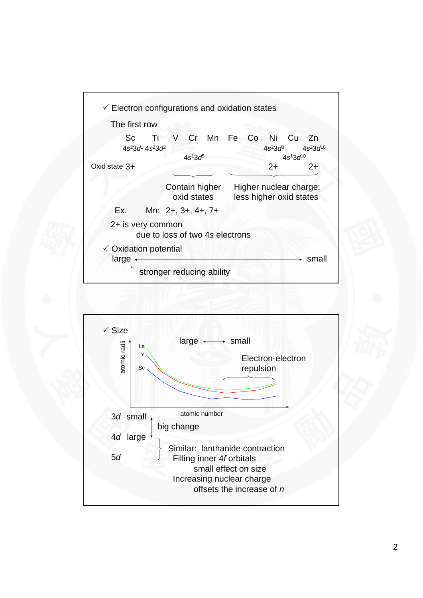

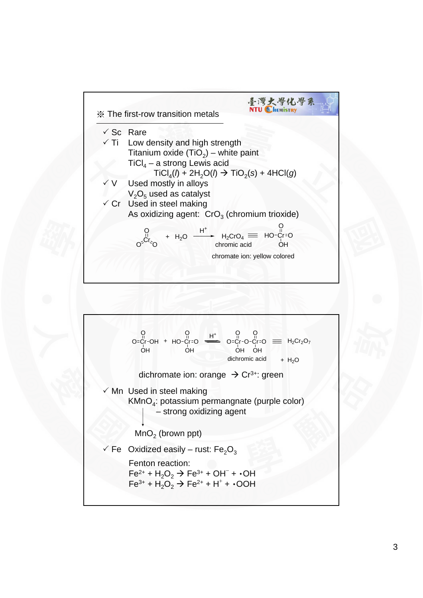

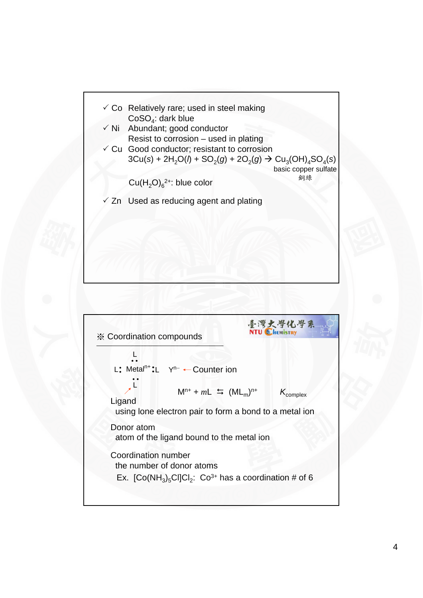

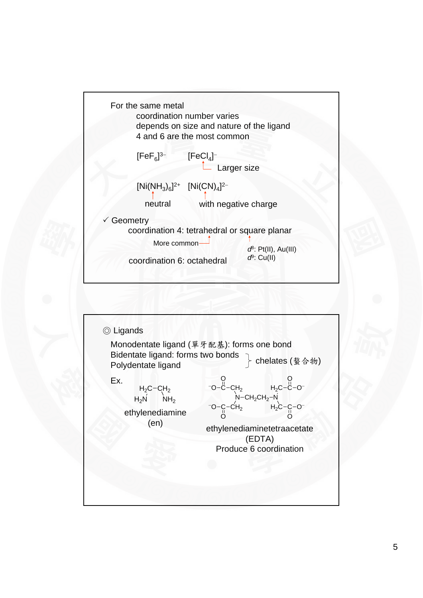

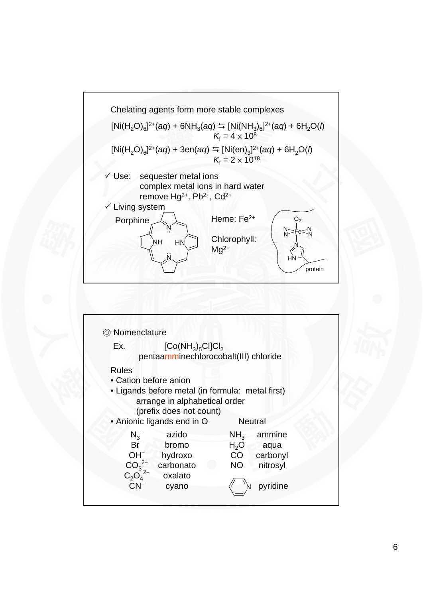

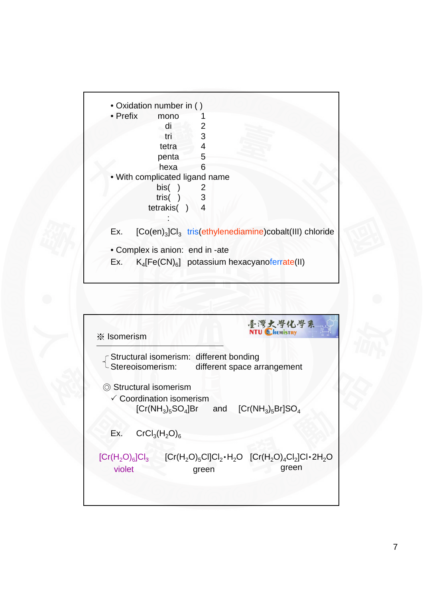

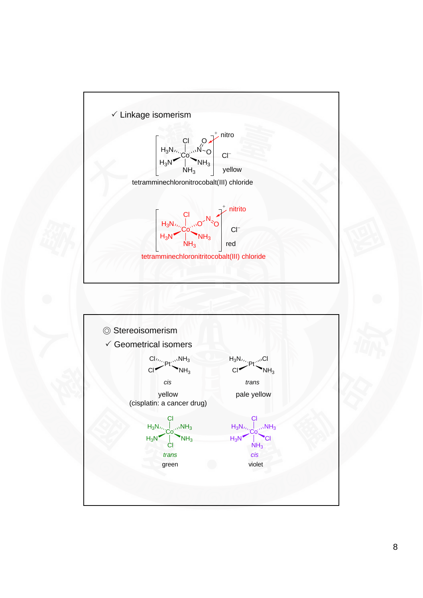

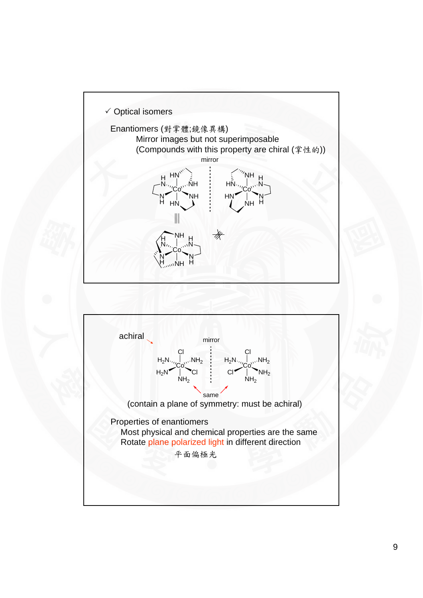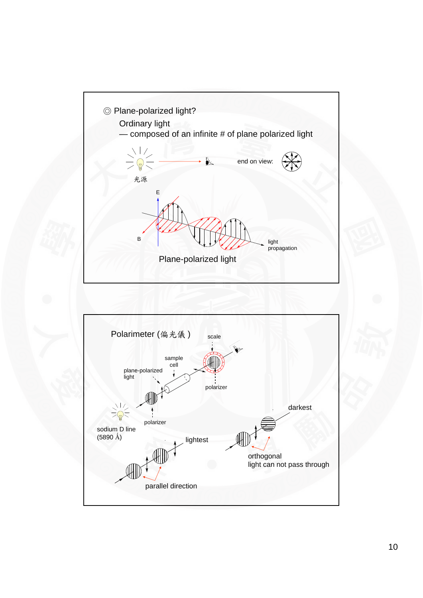

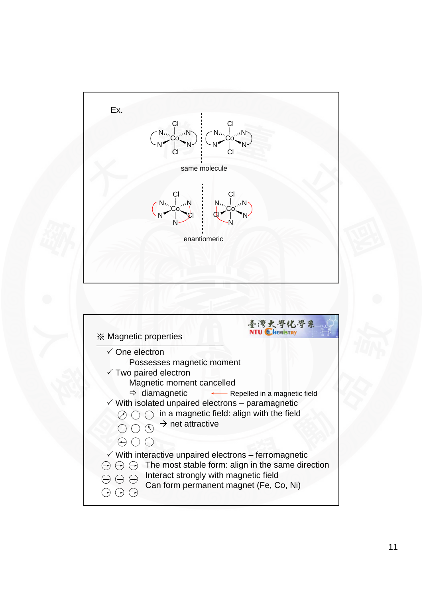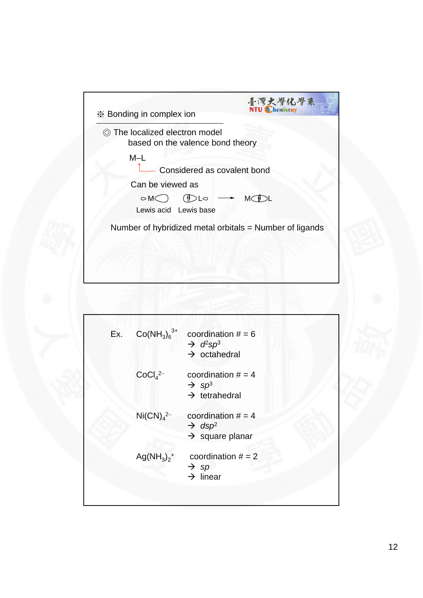| ◎ The localized electron model<br>based on the valence bond theory |                             |                    |  |
|--------------------------------------------------------------------|-----------------------------|--------------------|--|
| $M-L$                                                              | Considered as covalent bond |                    |  |
| Can be viewed as<br>$\circ$ M $\subset$                            | DQ<br>Lewis acid Lewis base | MC <sup>1</sup> DL |  |
| Number of hybridized metal orbitals = Number of ligands            |                             |                    |  |

| Ex. | $Co(NH_3)_6^{3+}$                 | coordination $# = 6$<br>$\rightarrow d^2sp^3$<br>$\rightarrow$ octahedral             |  |
|-----|-----------------------------------|---------------------------------------------------------------------------------------|--|
|     | CoCl <sub>4</sub> <sup>2–</sup>   | coordination $# = 4$<br>$\rightarrow$ sp <sup>3</sup><br>$\rightarrow$ tetrahedral    |  |
|     | Ni(CN) <sub>4</sub> <sup>2–</sup> | coordination $# = 4$<br>$\rightarrow$ dsp <sup>2</sup><br>$\rightarrow$ square planar |  |
|     | $Ag(NH_3)_2^+$                    | coordination $# = 2$<br>$\rightarrow$ sp<br>$\rightarrow$ linear                      |  |
|     |                                   |                                                                                       |  |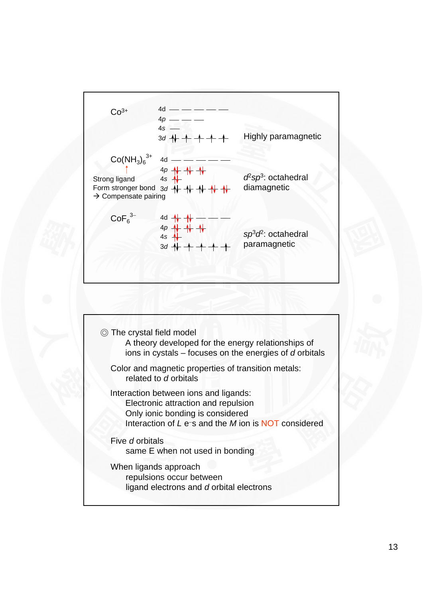

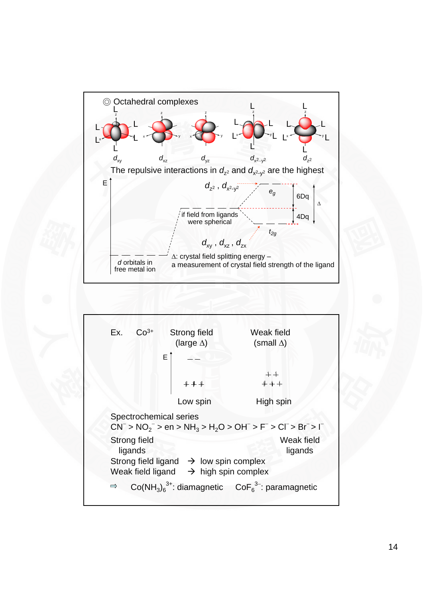

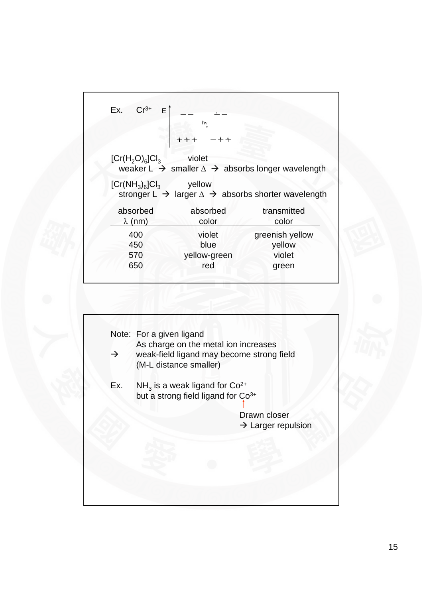| $Cr^{3+}$<br>E Î<br>Ex.    | hν                |                                                                                           |
|----------------------------|-------------------|-------------------------------------------------------------------------------------------|
|                            | $-++$             |                                                                                           |
| $[Cr(H2O)6]Cl3$            | violet            | weaker $L \rightarrow$ smaller $\Delta \rightarrow$ absorbs longer wavelength             |
|                            |                   |                                                                                           |
| $[Cr(NH_3)_6]Cl_3$         | yellow            |                                                                                           |
| absorbed<br>$\lambda$ (nm) | absorbed<br>color | transmitted<br>color                                                                      |
| 400                        | violet            |                                                                                           |
| 450                        | blue              | greenish yellow<br>yellow                                                                 |
| 570                        | yellow-green      | stronger $L \rightarrow$ larger $\Delta \rightarrow$ absorbs shorter wavelength<br>violet |

|               | Note: For a given ligand<br>As charge on the metal ion increases                              |
|---------------|-----------------------------------------------------------------------------------------------|
| $\rightarrow$ | weak-field ligand may become strong field<br>(M-L distance smaller)                           |
| Ex.           | $NH3$ is a weak ligand for Co <sup>2+</sup><br>but a strong field ligand for Co <sup>3+</sup> |
|               | Drawn closer                                                                                  |
|               | $\rightarrow$ Larger repulsion                                                                |
|               |                                                                                               |
|               |                                                                                               |
|               |                                                                                               |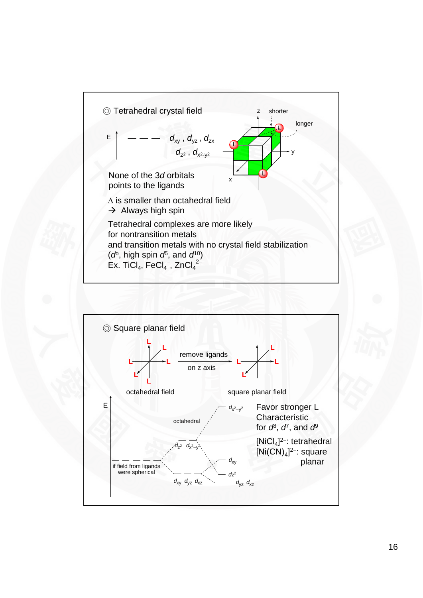

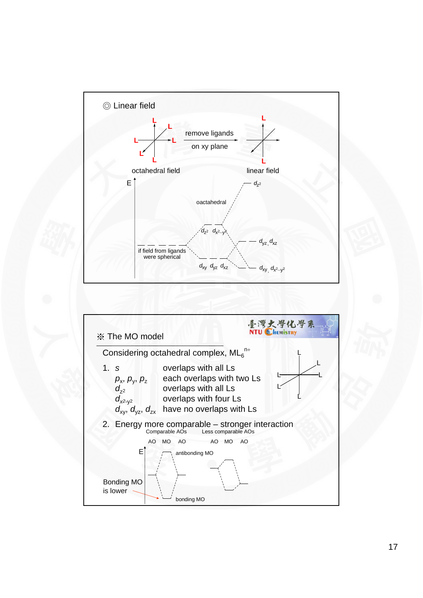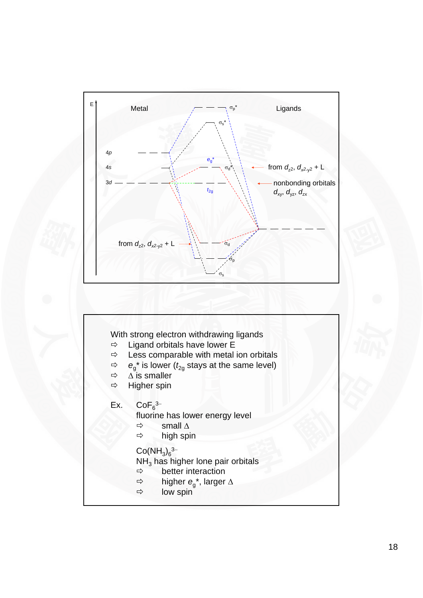